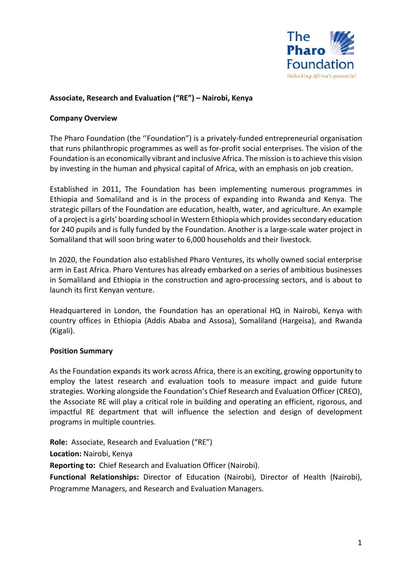

## **Associate, Research and Evaluation ("RE") – Nairobi, Kenya**

#### **Company Overview**

The Pharo Foundation (the ''Foundation") is a privately-funded entrepreneurial organisation that runs philanthropic programmes as well as for-profit social enterprises. The vision of the Foundation is an economically vibrant and inclusive Africa. The mission is to achieve this vision by investing in the human and physical capital of Africa, with an emphasis on job creation.

Established in 2011, The Foundation has been implementing numerous programmes in Ethiopia and Somaliland and is in the process of expanding into Rwanda and Kenya. The strategic pillars of the Foundation are education, health, water, and agriculture. An example of a project is a girls' boarding school in Western Ethiopia which provides secondary education for 240 pupils and is fully funded by the Foundation. Another is a large-scale water project in Somaliland that will soon bring water to 6,000 households and their livestock.

In 2020, the Foundation also established Pharo Ventures, its wholly owned social enterprise arm in East Africa. Pharo Ventures has already embarked on a series of ambitious businesses in Somaliland and Ethiopia in the construction and agro-processing sectors, and is about to launch its first Kenyan venture.

Headquartered in London, the Foundation has an operational HQ in Nairobi, Kenya with country offices in Ethiopia (Addis Ababa and Assosa), Somaliland (Hargeisa), and Rwanda (Kigali).

### **Position Summary**

As the Foundation expands its work across Africa, there is an exciting, growing opportunity to employ the latest research and evaluation tools to measure impact and guide future strategies. Working alongside the Foundation's Chief Research and Evaluation Officer (CREO), the Associate RE will play a critical role in building and operating an efficient, rigorous, and impactful RE department that will influence the selection and design of development programs in multiple countries.

**Role:** Associate, Research and Evaluation ("RE")

**Location:** Nairobi, Kenya

**Reporting to:** Chief Research and Evaluation Officer (Nairobi).

**Functional Relationships:** Director of Education (Nairobi), Director of Health (Nairobi), Programme Managers, and Research and Evaluation Managers.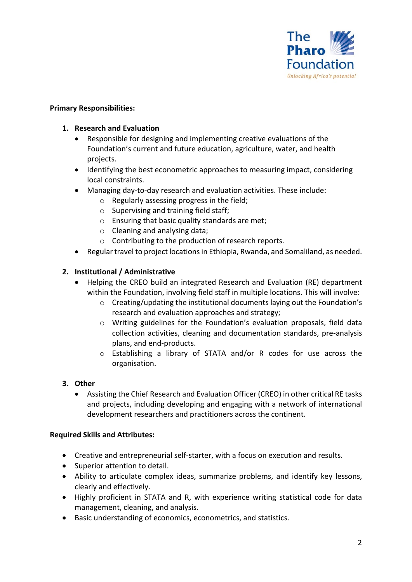

## **Primary Responsibilities:**

## **1. Research and Evaluation**

- Responsible for designing and implementing creative evaluations of the Foundation's current and future education, agriculture, water, and health projects.
- Identifying the best econometric approaches to measuring impact, considering local constraints.
- Managing day-to-day research and evaluation activities. These include:
	- o Regularly assessing progress in the field;
	- o Supervising and training field staff;
	- o Ensuring that basic quality standards are met;
	- o Cleaning and analysing data;
	- o Contributing to the production of research reports.
- Regular travel to project locations in Ethiopia, Rwanda, and Somaliland, as needed.

# **2. Institutional / Administrative**

- Helping the CREO build an integrated Research and Evaluation (RE) department within the Foundation, involving field staff in multiple locations. This will involve:
	- $\circ$  Creating/updating the institutional documents laying out the Foundation's research and evaluation approaches and strategy;
	- o Writing guidelines for the Foundation's evaluation proposals, field data collection activities, cleaning and documentation standards, pre-analysis plans, and end-products.
	- o Establishing a library of STATA and/or R codes for use across the organisation.

# **3. Other**

• Assisting the Chief Research and Evaluation Officer (CREO) in other critical RE tasks and projects, including developing and engaging with a network of international development researchers and practitioners across the continent.

### **Required Skills and Attributes:**

- Creative and entrepreneurial self-starter, with a focus on execution and results.
- Superior attention to detail.
- Ability to articulate complex ideas, summarize problems, and identify key lessons, clearly and effectively.
- Highly proficient in STATA and R, with experience writing statistical code for data management, cleaning, and analysis.
- Basic understanding of economics, econometrics, and statistics.